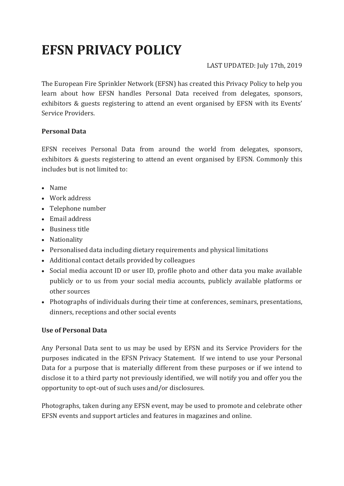# **EFSN PRIVACY POLICY**

## LAST UPDATED: July 17th, 2019

The European Fire Sprinkler Network (EFSN) has created this Privacy Policy to help you learn about how EFSN handles Personal Data received from delegates, sponsors, exhibitors & guests registering to attend an event organised by EFSN with its Events' Service Providers.

## **Personal Data**

EFSN receives Personal Data from around the world from delegates, sponsors, exhibitors & guests registering to attend an event organised by EFSN. Commonly this includes but is not limited to:

- Name
- Work address
- Telephone number
- Email address
- Business title
- Nationality
- Personalised data including dietary requirements and physical limitations
- Additional contact details provided by colleagues
- Social media account ID or user ID, profile photo and other data you make available publicly or to us from your social media accounts, publicly available platforms or other sources
- Photographs of individuals during their time at conferences, seminars, presentations, dinners, receptions and other social events

## **Use of Personal Data**

Any Personal Data sent to us may be used by EFSN and its Service Providers for the purposes indicated in the EFSN Privacy Statement. If we intend to use your Personal Data for a purpose that is materially different from these purposes or if we intend to disclose it to a third party not previously identified, we will notify you and offer you the opportunity to opt-out of such uses and/or disclosures.

Photographs, taken during any EFSN event, may be used to promote and celebrate other EFSN events and support articles and features in magazines and online.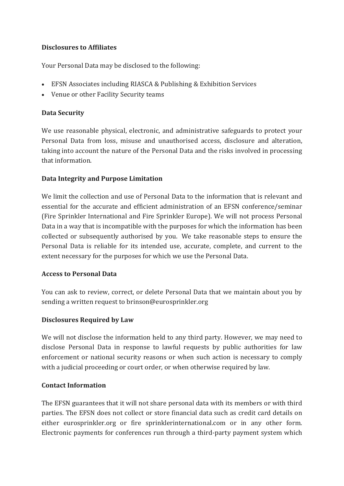## **Disclosures to Affiliates**

Your Personal Data may be disclosed to the following:

- EFSN Associates including RIASCA & Publishing & Exhibition Services
- Venue or other Facility Security teams

## **Data Security**

We use reasonable physical, electronic, and administrative safeguards to protect your Personal Data from loss, misuse and unauthorised access, disclosure and alteration, taking into account the nature of the Personal Data and the risks involved in processing that information.

## **Data Integrity and Purpose Limitation**

We limit the collection and use of Personal Data to the information that is relevant and essential for the accurate and efficient administration of an EFSN conference/seminar (Fire Sprinkler International and Fire Sprinkler Europe). We will not process Personal Data in a way that is incompatible with the purposes for which the information has been collected or subsequently authorised by you. We take reasonable steps to ensure the Personal Data is reliable for its intended use, accurate, complete, and current to the extent necessary for the purposes for which we use the Personal Data.

## **Access to Personal Data**

You can ask to review, correct, or delete Personal Data that we maintain about you by sending a written request to brinson@eurosprinkler.org

## **Disclosures Required by Law**

We will not disclose the information held to any third party. However, we may need to disclose Personal Data in response to lawful requests by public authorities for law enforcement or national security reasons or when such action is necessary to comply with a judicial proceeding or court order, or when otherwise required by law.

## **Contact Information**

The EFSN guarantees that it will not share personal data with its members or with third parties. The EFSN does not collect or store financial data such as credit card details on either eurosprinkler.org or fire sprinklerinternational.com or in any other form. Electronic payments for conferences run through a third-party payment system which